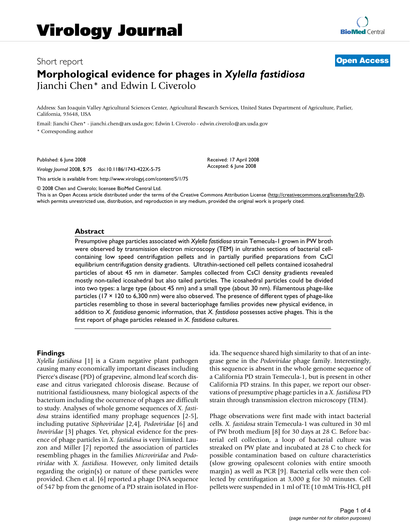# Short report **[Open Access](http://www.biomedcentral.com/info/about/charter/) Morphological evidence for phages in** *Xylella fastidiosa* Jianchi Chen\* and Edwin L Civerolo

Address: San Joaquin Valley Agricultural Sciences Center, Agricultural Research Services, United States Department of Agriculture, Parlier, California, 93648, USA

Email: Jianchi Chen\* - jianchi.chen@ars.usda.gov; Edwin L Civerolo - edwin.civerolo@ars.usda.gov \* Corresponding author

Published: 6 June 2008

*Virology Journal* 2008, **5**:75 doi:10.1186/1743-422X-5-75

[This article is available from: http://www.virologyj.com/content/5/1/75](http://www.virologyj.com/content/5/1/75)

© 2008 Chen and Civerolo; licensee BioMed Central Ltd.

This is an Open Access article distributed under the terms of the Creative Commons Attribution License [\(http://creativecommons.org/licenses/by/2.0\)](http://creativecommons.org/licenses/by/2.0), which permits unrestricted use, distribution, and reproduction in any medium, provided the original work is properly cited.

Received: 17 April 2008 Accepted: 6 June 2008

#### **Abstract**

Presumptive phage particles associated with *Xylella fastidiosa* strain Temecula-1 grown in PW broth were observed by transmission electron microscopy (TEM) in ultrathin sections of bacterial cellcontaining low speed centrifugation pellets and in partially purified preparations from CsCl equilibrium centrifugation density gradients. Ultrathin-sectioned cell pellets contained icosahedral particles of about 45 nm in diameter. Samples collected from CsCl density gradients revealed mostly non-tailed icosahedral but also tailed particles. The icosahedral particles could be divided into two types: a large type (about 45 nm) and a small type (about 30 nm). Filamentous phage-like particles (17 × 120 to 6,300 nm) were also observed. The presence of different types of phage-like particles resembling to those in several bacteriophage families provides new physical evidence, in addition to *X. fastidiosa* genomic information, that *X. fastidiosa* possesses active phages. This is the first report of phage particles released in *X. fastidiosa* cultures.

#### **Findings**

*Xylella fastidiosa* [1] is a Gram negative plant pathogen causing many economically important diseases including Pierce's disease (PD) of grapevine, almond leaf scorch disease and citrus variegated chlorosis disease. Because of nutritional fastidiousness, many biological aspects of the bacterium including the occurrence of phages are difficult to study. Analyses of whole genome sequences of *X. fastidosa* strains identified many prophage sequences [2-5], including putative *Siphoviridae* [2,4], *Podoviridae* [6] and *Inoviridae* [3] phages. Yet, physical evidence for the presence of phage particles in *X. fastidiosa* is very limited. Lauzon and Miller [7] reported the association of particles resembling phages in the families *Microviridae* and *Podoviridae* with *X. fastidiosa*. However, only limited details regarding the origin(s) or nature of these particles were provided. Chen et al. [6] reported a phage DNA sequence of 547 bp from the genome of a PD strain isolated in Florida. The sequence shared high similarity to that of an integrase gene in the *Podoviridae* phage family. Interestingly, this sequence is absent in the whole genome sequence of a California PD strain Temecula-1, but is present in other California PD strains. In this paper, we report our observations of presumptive phage particles in a *X. fastidiosa* PD strain through transmission electron microscopy (TEM).

Phage observations were first made with intact bacterial cells. *X. fastidosa* strain Temecula-1 was cultured in 30 ml of PW broth medium [8] for 30 days at 28 C. Before bacterial cell collection, a loop of bacterial culture was streaked on PW plate and incubated at 28 C to check for possible contamination based on culture characteristics (slow growing opalescent colonies with entire smooth margin) as well as PCR [9]. Bacterial cells were then collected by centrifugation at 3,000 g for 30 minutes. Cell pellets were suspended in 1 ml of TE (10 mM Tris-HCl, pH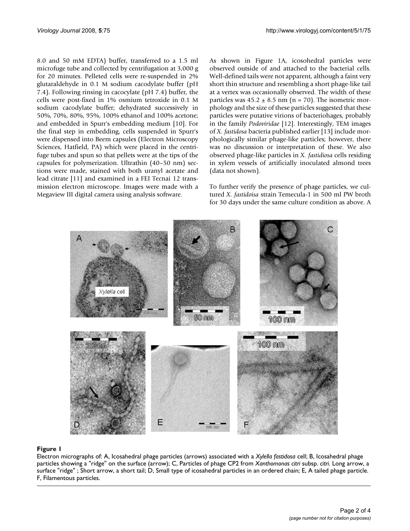8.0 and 50 mM EDTA) buffer, transferred to a 1.5 ml microfuge tube and collected by centrifugation at 3,000 g for 20 minutes. Pelleted cells were re-suspended in 2% glutaraldehyde in 0.1 M sodium cacodylate buffer (pH 7.4). Following rinsing in cacocylate (pH 7.4) buffer, the cells were post-fixed in 1% osmium tetroxide in 0.1 M sodium cacodylate buffer; dehydrated successively in 50%, 70%, 80%, 95%, 100% ethanol and 100% acetone; and embedded in Spurr's embedding medium [10]. For the final step in embedding, cells suspended in Spurr's were dispensed into Beem capsules (Electron Microscopy Sciences, Hatfield, PA) which were placed in the centrifuge tubes and spun so that pellets were at the tips of the capsules for polymerization. Ultrathin (40–50 nm) sections were made, stained with both uranyl acetate and lead citrate [11] and examined in a FEI Tecnai 12 transmission electron microscope. Images were made with a Megaview III digital camera using analysis software.

As shown in Figure 1A, icosohedral particles were observed outside of and attached to the bacterial cells. Well-defined tails were not apparent, although a faint very short thin structure and resembling a short phage-like tail at a vertex was occasionally observed. The width of these particles was  $45.2 \pm 8.5$  nm (n = 70). The isometric morphology and the size of these particles suggested that these particles were putative virions of bacteriohages, probably in the family *Podoviridae* [12]. Interestingly, TEM images of *X. fastidosa* bacteria published earlier [13] include morphologically similar phage-like particles; however, there was no discussion or interpretation of these. We also observed phage-like particles in *X. fastidiosa* cells residing in xylem vessels of artificially inoculated almond trees (data not shown).

To further verify the presence of phage particles, we cultured *X. fastidoisa* strain Temecula-1 in 500 ml PW broth for 30 days under the same culture condition as above. A



### particles showing a "ridge" on the surface **Figure 1** Electron micrographs of: A, Icosahedral ph(arrow); C, Particles of phage CP2 from age particles (arrows) associated with a *Xanthomonas citri Xylella fastidosa* cell; B, Icosahedral phage subsp. *citri*

Electron micrographs of: A, Icosahedral phage particles (arrows) associated with a *Xylella fastidosa* cell; B, Icosahedral phage particles showing a "ridge" on the surface (arrow); C, Particles of phage CP2 from *Xanthomonas citri* subsp. *citri*. Long arrow, a surface "ridge" ; Short arrow, a short tail; D, Small type of icosahedral particles in an ordered chain; E, A tailed phage particle. F, Filamentous particles.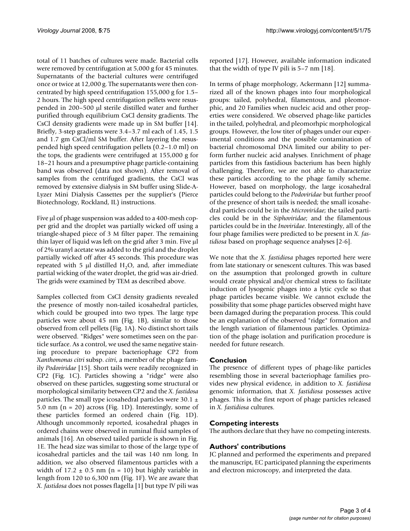total of 11 batches of cultures were made. Bacterial cells were removed by centrifugation at 5,000 g for 45 minutes. Supernatants of the bacterial cultures were centrifuged once or twice at 12,000 g. The supernatants were then concentrated by high speed centrifugation 155,000 g for 1.5– 2 hours. The high speed centrifugation pellets were resuspended in 200–500 μl sterile distilled water and further purified through equilibrium CsCl density gradients. The CsCl density gradients were made up in SM buffer [14]. Briefly, 3-step gradients were 3.4–3.7 ml each of 1.45, 1.5 and 1.7 gm CsCl/ml SM buffer. After layering the resuspended high speed centrifugation pellets (0.2–1.0 ml) on the tops, the gradients were centrifuged at 155,000 g for 18–21 hours and a presumptive phage particle-containing band was observed (data not shown). After removal of samples from the centrifuged gradients, the CsCl was removed by extensive dialysis in SM buffer using Slide-A-Lyzer Mini Dialysis Cassettes per the supplier's (Pierce Biotechnology, Rockland, IL) instructions.

Five μl of phage suspension was added to a 400-mesh copper grid and the droplet was partially wicked off using a triangle-shaped piece of 3 M filter paper. The remaining thin layer of liquid was left on the grid after 3 min. Five μl of 2% uranyl acetate was added to the grid and the droplet partially wicked off after 45 seconds. This procedure was repeated with 5  $\mu$ l distilled H<sub>2</sub>O, and, after immediate partial wicking of the water droplet, the grid was air-dried. The grids were examined by TEM as described above.

Samples collected from CsCl density gradients revealed the presence of mostly non-tailed icosahedral particles, which could be grouped into two types. The large type particles were about 45 nm (Fig. 1B), similar to those observed from cell pellets (Fig. 1A). No distinct short tails were observed. "Ridges" were sometimes seen on the particle surface. As a control, we used the same negative staining procedure to prepare bacteriophage CP2 from *Xanthomonas citri* subsp. *citri*, a member of the phage family *Podoviridae* [15]. Short tails were readily recognized in CP2 (Fig. 1C). Particles showing a "ridge" were also observed on these particles, suggesting some structural or morphological similarity between CP2 and the *X. fastidosa* particles. The small type icosahedral particles were  $30.1 \pm$ 5.0 nm (n = 20) across (Fig. 1D). Interestingly, some of these particles formed an ordered chain (Fig. 1D). Although uncommonly reported, icosahedral phages in ordered chains were observed in ruminal fluid samples of animals [16]. An observed tailed particle is shown in Fig. 1E. The head size was similar to those of the large type of icosahedral particles and the tail was 140 nm long. In addition, we also observed filamentous particles with a width of  $17.2 \pm 0.5$  nm (n = 10) but highly variable in length from 120 to 6,300 nm (Fig. 1F). We are aware that *X. fastidosa* does not posses flagella [1] but type IV pili was reported [17]. However, available information indicated that the width of type IV pili is 5–7 nm [18].

In terms of phage morphology, Ackermann [12] summarized all of the known phages into four morphological groups: tailed, polyhedral, filamentous, and pleomorphic, and 20 Families when nucleic acid and other properties were considered. We observed phage-like particles in the tailed, polyhedral, and pleomorhpic morphological groups. However, the low titer of phages under our experimental conditions and the possible contamination of bacterial chromosomal DNA limited our ability to perform further nucleic acid analyses. Enrichment of phage particles from this fastidious bacterium has been highly challenging. Therefore, we are not able to characterize these particles according to the phage family scheme. However, based on morphology, the large icosahedral particles could belong to the *Podoviridae* but further proof of the presence of short tails is needed; the small icosahedral particles could be in the *Microviridae*; the tailed particles could be in the *Siphoviridae*; and the filamentous particles could be in the *Inoviridae*. Interestingly, all of the four phage families were predicted to be present in *X. fastidiosa* based on prophage sequence analyses [2-6].

We note that the *X. fastidiosa* phages reported here were from late stationary or senescent cultures. This was based on the assumption that prolonged growth in culture would create physical and/or chemical stress to facilitate induction of lysogenic phages into a lytic cycle so that phage particles became visible. We cannot exclude the possibility that some phage particles observed might have been damaged during the preparation process. This could be an explanation of the observed "ridge" formation and the length variation of filamentous particles. Optimization of the phage isolation and purification procedure is needed for future research.

# **Conclusion**

The presence of different types of phage-like particles resembling those in several bacteriophage families provides new physical evidence, in addition to *X. fastidiosa* genomic information, that *X. fastidiosa* possesses active phages. This is the first report of phage particles released in *X. fastidiosa* cultures.

# **Competing interests**

The authors declare that they have no competing interests.

# **Authors' contributions**

JC planned and performed the experiments and prepared the manuscript, EC participated planning the experiments and electron microscopy, and interpreted the data.